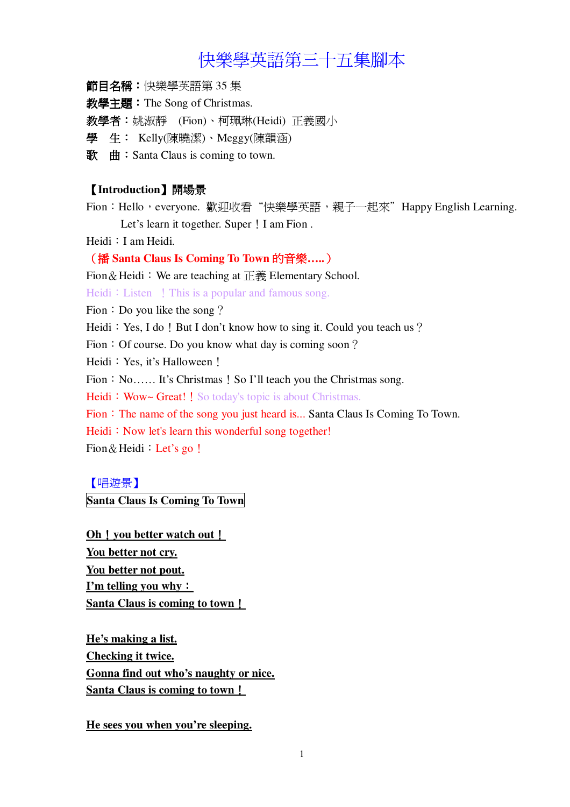# 快樂學英語第三十五集腳本

節目名稱:快樂學英語第35集

教學主題: The Song of Christmas.

教學者:姚淑靜 (Fion)、柯珮琳(Heidi) 正義國小

學 生: Kelly(陳曉潔)、Meggy(陳韻涵)

 $\mathbb{R}$   $\mathbb{H}$  : Santa Claus is coming to town.

## **【Introduction】開場景**

Fion: Hello, everyone. 歡迎收看"快樂學英語,親子一起來" Happy English Learning. Let's learn it together. Super ! I am Fion .

Heidi: I am Heidi.

## (播 Santa Claus Is Coming To Town 的音樂.....)

Fion & Heidi: We are teaching at  $\mathbb{H}$   $\ddot{\mathbb{R}}$  Elementary School.

 $Heidi: Listen$  ! This is a popular and famous song.

Fion: Do you like the song?

Heidi: Yes, I do! But I don't know how to sing it. Could you teach us?

Fion: Of course. Do you know what day is coming soon?

Heidi: Yes, it's Halloween!

Fion : No…… It's Christmas ! So I'll teach you the Christmas song.

Heidi: Wow~ Great!! So today's topic is about Christmas.

Fion: The name of the song you just heard is... Santa Claus Is Coming To Town.

Heidi: Now let's learn this wonderful song together!

Fion & Heidi: Let's go!

## 【唱游景】

**Santa Claus Is Coming To Town**

#### **Oh**! **you** better watch out !

**You better not cry. You better not pout. I'm telling** you why: **Santa Claus** is coming to town!

**He's making a list. Checking it twice. Gonna find out who's naughty or nice. Santa Claus** is coming to town!

**He sees you when you're sleeping.**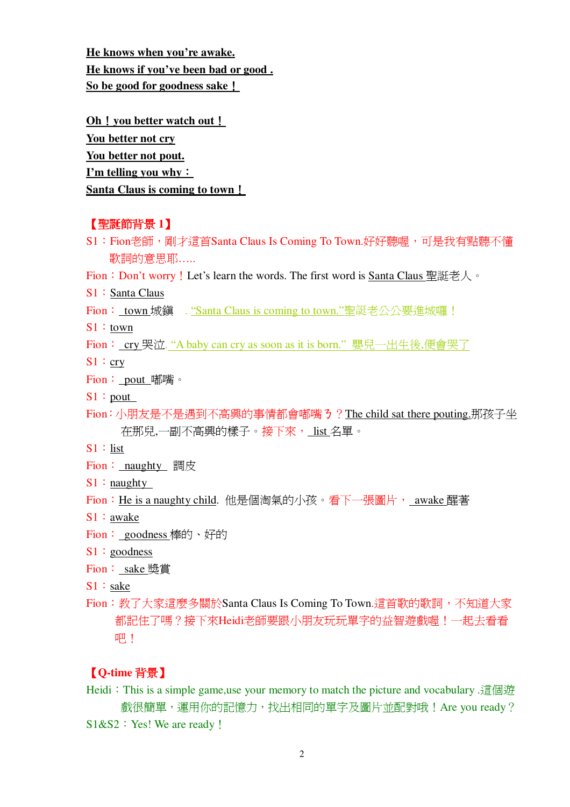**He knows when you're awake. He knows if you've been bad or good . So** be good for goodness sake!

**Oh**! **you** better **watch** out! **You better not cry You better not pout. I'm telling** you why: **Santa Claus** is coming to town!

## 【聖誕節背景 1】

S1: Fion老師, 剛才這首Santa Claus Is Coming To Town.好好聽喔, 可是我有點聽不懂 歌詞的意思耶……

Fion: Don't worry! Let's learn the words. The first word is Santa Claus 聖誕老人。

S1: Santa Claus

Fion: town 城鎮 . "Santa Claus is coming to town."聖誔老公公要淮城囉!

 $S1:$  town

Fion: cry 哭泣. "A baby can cry as soon as it is born." 嬰兒一出生後,便會哭了

 $S1:crv$ 

Fion: pout 嘟嘴。

 $S1 : \text{pout}$ 

Fion: 小朋友是不是遇到不高興的事情都會嘟嘴 3 ? The child sat there pouting.那孩子坐 在那兒,一副不高興的樣子。接下來, list 名單。

 $S1:$  list

Fion: naughty 調皮

 $S1$ : naughty

```
Fion: He is a naughty child. 他是個淘氣的小孩。看下一張圖片, awake 醒著
```
- $S1:$  awake
- Fion: goodness 棒的、好的
- $S1$ : goodness

Fion: sake 獎賞

 $S1$  : sake

Fion: 教了大家這麼多關於Santa Claus Is Coming To Town.這首歌的歌詞, 不知道大家 都記住了嗎?接下來Heidi老師要跟小朋友玩玩單字的益智遊戲喔!一起去看看 吧!

## **【Q-time** 背景】

Heidi: This is a simple game,use your memory to match the picture and vocabulary .這個遊 戲很簡單,運用你的記憶力,找出相同的單字及圖片並配對哦!Are you ready? S1&S2: Yes! We are ready!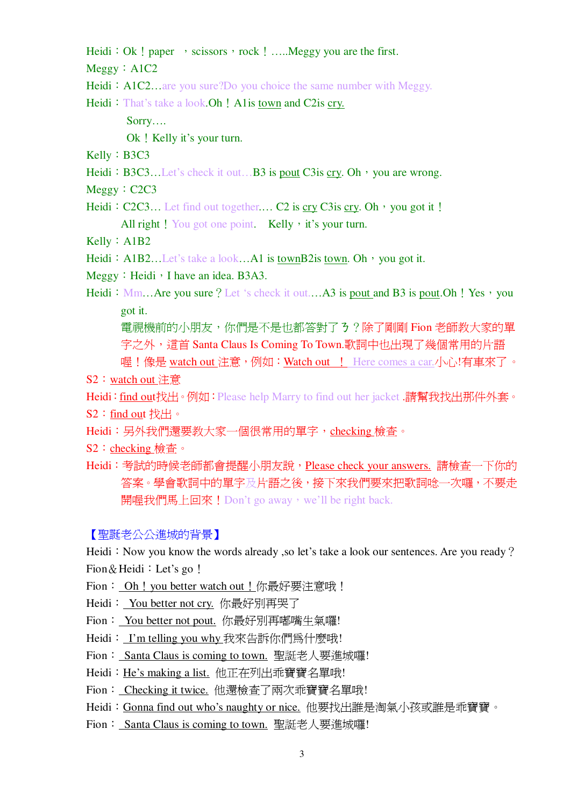Heidi: Ok! paper , scissors, rock! .....Meggy you are the first.

 $Meggy: A1C2$ 

- Heidi:  $A1C2...$ are you sure?Do you choice the same number with Meggy.
- Heidi: That's take a look.Oh! A1is town and C2is cry.

Sorry….

## Ok! Kelly it's your turn.

- Kelly: B3C3
- Heidi: B3C3…Let's check it out…B3 is pout C3is cry. Oh, you are wrong.
- $Megy: C2C3$
- Heidi: C2C3… Let find out together.… C2 is cry C3is cry. Oh, you got it! All right! You got one point. Kelly  $\cdot$  it's your turn.
- Kelly: A1B2
- Heidi:  $A1B2...$  Let's take a look…A1 is townB2is town. Oh, you got it.
- Meggy: Heidi, I have an idea. B3A3.
- Heidi: Mm…Are you sure? Let 's check it out.…A3 is pout and B3 is pout.Oh! Yes, you got it.

電視機前的小朋友,你們是不是也都答對了3?除了剛剛 Fion 老師教大家的單 字之外,這首 Santa Claus Is Coming To Town.歌詞中也出現了幾個常用的片語

喔!像是 watch out 注意,例如:Watch out ! Here comes a car.小心!有車來了。 S2: watch out 注意

Heidi: find out找出。例如: Please help Marry to find out her jacket .請幫我找出那件外套。 S2: find out 找出。

Heidi: 另外我們還要教大家一個很常用的單字, checking 檢杳。

S2: checking 檢杳。

Heidi:考試的時候老師都會提醒小朋友說, Please check your answers. 請檢查一下你的 答案。學會歌詞中的單字及片語之後,接下來我們要來把歌詞唸一次囉,不要走  $\frac{1}{2}$   $\frac{1}{2}$   $\frac{1}{2}$   $\frac{1}{2}$   $\frac{1}{2}$   $\frac{1}{2}$   $\frac{1}{2}$   $\frac{1}{2}$   $\frac{1}{2}$   $\frac{1}{2}$   $\frac{1}{2}$   $\frac{1}{2}$   $\frac{1}{2}$   $\frac{1}{2}$   $\frac{1}{2}$   $\frac{1}{2}$   $\frac{1}{2}$   $\frac{1}{2}$   $\frac{1}{2}$   $\frac{1}{2}$   $\frac{1}{2}$   $\frac{1}{2}$ 

【聖誕老公公進城的背景】

Heidi: Now you know the words already ,so let's take a look our sentences. Are you ready? Fion & Heidi: Let's go!

- Fion: Oh! you better watch out ! 你最好要注意哦!
- Heidi: You better not cry. 你最好別再哭了
- Fion: You better not pout. 你最好別再嘟嘴生氣囉!
- Heidi: I'm telling you why 我來告訴你們為什麼哦!
- Fion: Santa Claus is coming to town. 聖誕老人要進城囉!
- Heidi: He's making a list. 他正在列出乖寶寶名單哦!
- Fion: Checking it twice. 他還檢查了兩次乖寶寶名單哦!
- Heidi: Gonna find out who's naughty or nice. 他要找出誰是淘氣小孩或誰是乖寶寶。
- Fion: Santa Claus is coming to town. 聖誕老人要進城囉!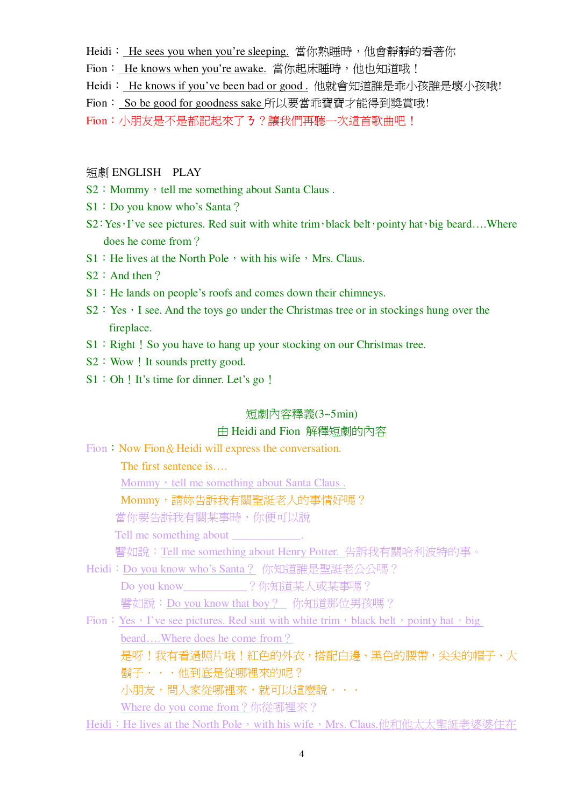- Heidi: He sees you when you're sleeping. 當你熟睡時, 他會靜靜的看著你
- Fion: He knows when you're awake. 當你起床睡時, 他也知道哦!
- Heidi: He knows if you've been bad or good. 他就會知道誰是乖小孩誰是壞小孩哦!
- Fion: So be good for goodness sake 所以要當乖寶寶才能得到獎嘗哦!
- Fion: 小朋友是不是都記起來了3?讓我們再聽一次這首歌曲吧!

短劇 ENGLISH PLAY

- S2: Mommy, tell me something about Santa Claus.
- S1: Do you know who's Santa?
- S2: Yes I've see pictures. Red suit with white trim black belt pointy hat big beard….Where does he come from ?
- S1: He lives at the North Pole, with his wife, Mrs. Claus.
- S<sub>2</sub>: And then  $\frac{1}{2}$
- $S1$ : He lands on people's roofs and comes down their chimneys.
- $S2: Yes \cdot I$  see. And the toys go under the Christmas tree or in stockings hung over the fireplace.
- S1: Right! So you have to hang up your stocking on our Christmas tree.
- S2: Wow! It sounds pretty good.
- S1: Oh! It's time for dinner. Let's go!

## 短劇內容釋義(3~5min)

## 由 Heidi and Fion 解釋短劇的內容

Fion: Now Fion  $&$  Heidi will express the conversation.

The first sentence is….

Mommy, tell me something about Santa Claus .

```
Mommy,請妳告訴我有關聖誕老人的事情好嗎?
```
當你要告訴我有關某事時,你便可以說

Tell me something about

譬如說:Tell me something about Henry Potter. 告訴我有關哈利波特的事。

Heidi: Do you know who's Santa? 你知道誰是聖誕老公公嗎?

Do you know\_\_\_\_\_\_\_\_\_\_\_\_\_? 你知道某人或某事嗎?

譬如說: Do you know that boy? 你知道那位男孩嗎?

Fion: Yes, I've see pictures. Red suit with white trim, black belt, pointy hat, big

beard....Where does he come from?

是呀!我有看過照片哦!紅色的外衣,搭配白邊、黑色的腰帶,尖尖的帽子、大 鬍子 ••• 他到底是從哪裡來的呢?

小朋友,問人家從哪裡來,就可以這麼說...

Where do you come from? 你從哪裡來?

Heidi: He lives at the North Pole, with his wife, Mrs. Claus.他和他太太聖誕老婆婆住在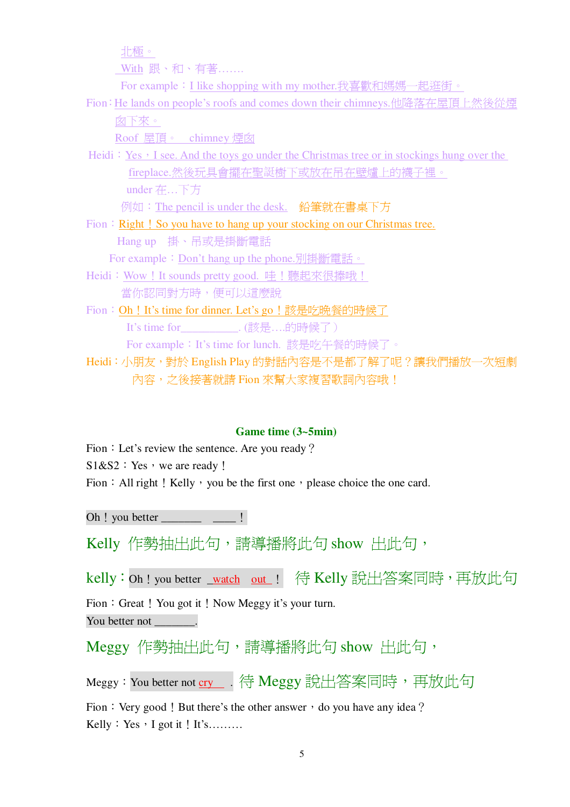北極。 With 跟、和、有著.......

For example: I like shopping with my mother.我喜歡和媽媽一起逛街。

Fion: He lands on people's roofs and comes down their chimneys.他降落在屋頂上然後從煙 囱下來。

Roof 屋頂。 chimney 煙囪

- Heidi: Yes, I see. And the toys go under the Christmas tree or in stockings hung over the fireplace.然後玩具會擺在聖誕樹下或放在吊在壁爐上的襪子裡。 under 在...下方 例如: The pencil is under the desk. 鉛筆就在書桌下方
- Fion: Right! So you have to hang up your stocking on our Christmas tree. Hang up 掛、吊或是掛斷電話 For example: Don't hang up the phone.別掛斷雷話。 Heidi: Wow ! It sounds pretty good. 哇!聽起來很捧哦!

當你認同對方時,便可以這麼說

Fion: Oh! It's time for dinner. Let's go! 該是吃晚餐的時候了 It's time for \_\_\_\_\_\_\_\_\_. (該是….的時候了)

For example: It's time for lunch. 該是吃午餐的時候了。

Heidi: 小朋友, 對於 English Play 的對話內容是不是都了解了呢?讓我們播放一次短劇 內容,之後接著就請 Fion 來幫大家複習歌詞內容哦!

## **Game time (3~5min)**

Fion: Let's review the sentence. Are you ready? S1&S2: Yes, we are ready! Fion: All right! Kelly, you be the first one, please choice the one card.

Oh! you better  $\qquad \qquad \qquad$  |

Kelly 作勢抽出此句, 請導播將此句 show 出此句,

kelly: Oh ! you better watch out ! 待 Kelly 說出答案同時, 再放此句

Fion: Great! You got it! Now Meggy it's your turn.

You better not \_\_\_\_\_\_\_\_.

Meggy 作勢抽出此句,請導播將此句 show 出此句,

Meggy: You better not cry . 待 Meggy 說出答案同時,再放此句

Fion: Very good! But there's the other answer, do you have any idea? Kelly  $: Yes \cdot I got it \cdot II't's...$